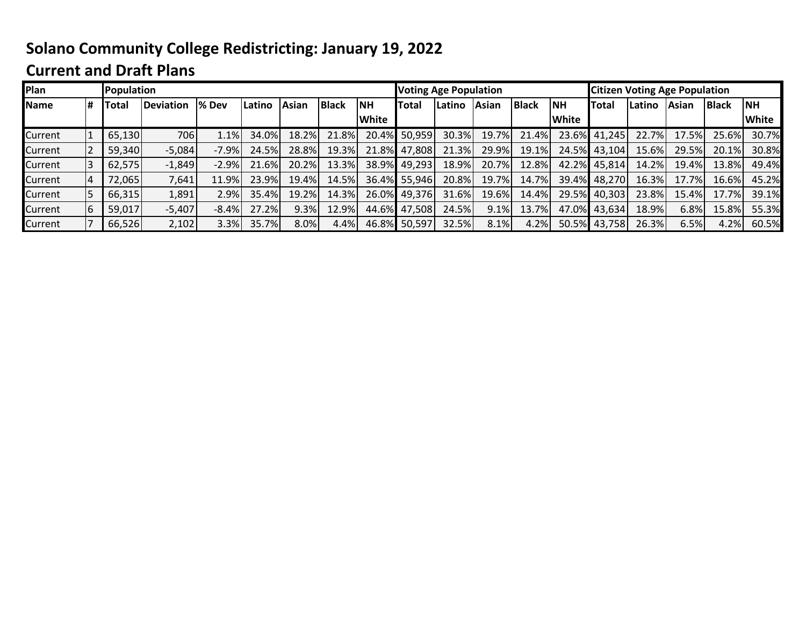## **Solano Community College Redistricting: January 19, 2022**

## **Current and Draft Plans**

| Plan        |    | Population |                  |               |        |       |              |              | <b>Voting Age Population</b> |        |       |              |                           | <b>Citizen Voting Age Population</b> |        |       |              |              |
|-------------|----|------------|------------------|---------------|--------|-------|--------------|--------------|------------------------------|--------|-------|--------------|---------------------------|--------------------------------------|--------|-------|--------------|--------------|
| <b>Name</b> | l# | Total      | <b>Deviation</b> | <b>1% Dev</b> | Latino | Asian | <b>Black</b> | <b>NH</b>    | Total                        | Latino | Asian | <b>Black</b> | $\overline{\mathsf{INH}}$ | <b>Total</b>                         | Latino | Asian | <b>Black</b> | <b>NH</b>    |
|             |    |            |                  |               |        |       |              | <b>White</b> |                              |        |       |              | <b>White</b>              |                                      |        |       |              | <b>White</b> |
| Current     |    | 65,130     | 706              | $1.1\%$       | 34.0%  | 18.2% | 21.8%        |              | 20.4% 50,959                 | 30.3%  | 19.7% | 21.4%        | 23.6%                     | 41,245                               | 22.7%  | 17.5% | 25.6%        | 30.7%        |
| Current     |    | 59,340     | $-5,084$         | $-7.9%$       | 24.5%  | 28.8% | 19.3%        | 21.8%        | 47,808                       | 21.3%  | 29.9% | 19.1%        | 24.5%                     | 43,104                               | 15.6%  | 29.5% | 20.1%        | 30.8%        |
| Current     | 3  | 62,575     | $-1,849$         | $-2.9%$       | 21.6%  | 20.2% | 13.3%        |              | 38.9% 49,293                 | 18.9%  | 20.7% | 12.8%        | 42.2%                     | 45,814                               | 14.2%  | 19.4% | 13.8%        | 49.4%        |
| Current     | 14 | 72,065     | 7,641            | 11.9%         | 23.9%  | 19.4% | 14.5%        |              | 36.4% 55,946                 | 20.8%  | 19.7% | 14.7%        | 39.4%                     | 48,270                               | 16.3%  | 17.7% | 16.6%        | 45.2%        |
| Current     | 5  | 66,315     | 1,891            | 2.9%          | 35.4%  | 19.2% | 14.3%        |              | 26.0% 49,376                 | 31.6%  | 19.6% | 14.4%        | 29.5%                     | 40,303                               | 23.8%  | 15.4% | 17.7%        | 39.1%        |
| Current     | 6  | 59,017     | $-5,407$         | $-8.4%$       | 27.2%  | 9.3%  | 12.9%        | 44.6%        | 47,508                       | 24.5%  | 9.1%  | 13.7%        | 47.0%                     | 43,634                               | 18.9%  | 6.8%  | 15.8%        | 55.3%        |
| Current     |    | 66,526     | 2,102            | 3.3%          | 35.7%  | 8.0%  | 4.4%         |              | 46.8% 50,597                 | 32.5%  | 8.1%  | 4.2%         | 50.5%                     | 43,758                               | 26.3%  | 6.5%  | 4.2%         | 60.5%        |